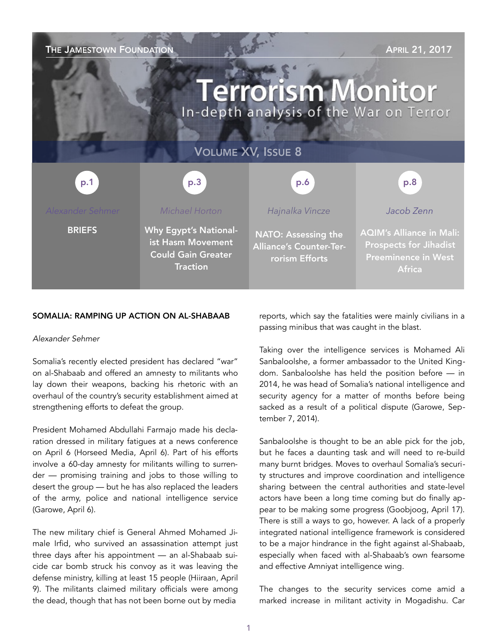| THE JAMESTOWN FOUNDATION<br><b>APRIL 21, 2017</b><br><b>Terrorism Monitor</b><br>In-depth analysis of the War on Terror |                                                                                                   |                                                                         |                                                                                                                 |
|-------------------------------------------------------------------------------------------------------------------------|---------------------------------------------------------------------------------------------------|-------------------------------------------------------------------------|-----------------------------------------------------------------------------------------------------------------|
| <b>VOLUME XV, ISSUE 8</b>                                                                                               |                                                                                                   |                                                                         |                                                                                                                 |
| p.1                                                                                                                     | p.3                                                                                               | p.6                                                                     | p.8                                                                                                             |
| Alexander Sehmer                                                                                                        | Michael Horton                                                                                    | Hajnalka Vincze                                                         | Jacob Zenn                                                                                                      |
| <b>BRIEFS</b>                                                                                                           | <b>Why Egypt's National-</b><br>ist Hasm Movement<br><b>Could Gain Greater</b><br><b>Traction</b> | NATO: Assessing the<br><b>Alliance's Counter-Ter-</b><br>rorism Efforts | <b>AQIM's Alliance in Mali:</b><br><b>Prospects for Jihadist</b><br><b>Preeminence in West</b><br><b>Africa</b> |

#### SOMALIA: RAMPING UP ACTION ON AL-SHABAAB

#### *Alexander Sehmer*

Somalia's recently elected president has declared "war" on al-Shabaab and offered an amnesty to militants who lay down their weapons, backing his rhetoric with an overhaul of the country's security establishment aimed at strengthening efforts to defeat the group.

President Mohamed Abdullahi Farmajo made his declaration dressed in military fatigues at a news conference on April 6 [\(Horseed Media,](https://horseedmedia.net/2017/04/06/president-farmaajo-declares-war-on-alshabab/) April 6). Part of his efforts involve a 60-day amnesty for militants willing to surrender — promising training and jobs to those willing to desert the group — but he has also replaced the leaders of the army, police and national intelligence service ([Garowe](http://www.garoweonline.com/so/news/somalia/taliyaashii-ciidamada-nabad-sugidda-booliiska-iyo-milatariga-oo-xilkii-laga-qaaday), April 6).

The new military chief is General Ahmed Mohamed Jimale Irfid, who survived an assassination attempt just three days after his appointment — an al-Shabaab suicide car bomb struck his convoy as it was leaving the defense ministry, killing at least 15 people [\(Hiiraan,](https://www.hiiraan.com/news4/2017/Apr/141497/newly_sworn_in_army_chief_escapes_car_bomb_at_least_15_killed.aspx) April 9). The militants claimed military officials were among the dead, though that has not been borne out by media

reports, which say the fatalities were mainly civilians in a passing minibus that was caught in the blast.

Taking over the intelligence services is Mohamed Ali Sanbaloolshe, a former ambassador to the United Kingdom. Sanbaloolshe has held the position before — in 2014, he was head of Somalia's national intelligence and security agency for a matter of months before being sacked as a result of a political dispute [\(Garowe,](http://www.garoweonline.com/en/news/somalia/somalia-national-intelligence-chief-sacked-in-cabinet-meeting) September 7, 2014).

Sanbaloolshe is thought to be an able pick for the job, but he faces a daunting task and will need to re-build many burnt bridges. Moves to overhaul Somalia's security structures and improve coordination and intelligence sharing between the central authorities and state-level actors have been a long time coming but do finally appear to be making some progress ([Goobjoog,](http://goobjoog.com/english/fed-state-leaders-endorse-new-national-security-architecture/) April 17). There is still a ways to go, however. A lack of a properly integrated national intelligence framework is considered to be a major hindrance in the fight against al-Shabaab, especially when faced with al-Shabaab's own fearsome and effective Amniyat intelligence wing.

The changes to the security services come amid a marked increase in militant activity in Mogadishu. Car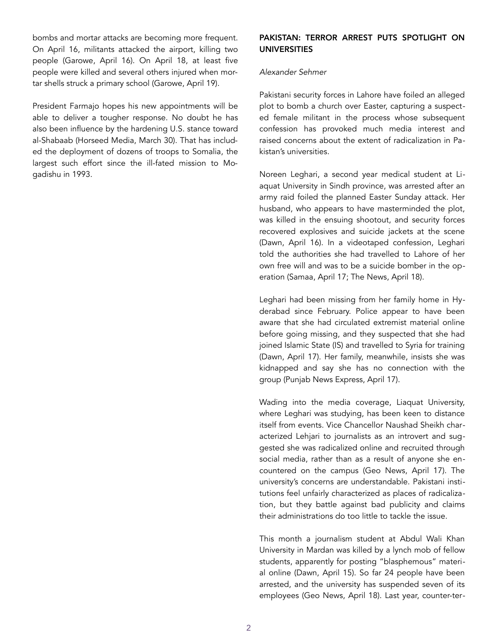bombs and mortar attacks are becoming more frequent. On April 16, militants attacked the airport, killing two people ([Garowe,](http://www.garoweonline.com/en/news/somalia/somalia-mortars-land-around-mogadishu-airport-2-killed) April 16). On April 18, at least five people were killed and several others injured when mortar shells struck a primary school [\(Garowe](http://www.garoweonline.com/en/news/somalia/somalia-five-killed-in-mortar-attack-in-mogadishu), April 19).

President Farmajo hopes his new appointments will be able to deliver a tougher response. No doubt he has also been influence by the hardening U.S. stance toward al-Shabaab ([Horseed Media,](https://horseedmedia.net/2017/03/30/pentagon-gets-ok-for-more-aggressive-airstrikes-in-somalia/) March 30). That has included the deployment of dozens of troops to Somalia, the largest such effort since the ill-fated mission to Mogadishu in 1993.

## PAKISTAN: TERROR ARREST PUTS SPOTLIGHT ON UNIVERSITIES

#### *Alexander Sehmer*

Pakistani security forces in Lahore have foiled an alleged plot to bomb a church over Easter, capturing a suspected female militant in the process whose subsequent confession has provoked much media interest and raised concerns about the extent of radicalization in Pakistan's universities.

Noreen Leghari, a second year medical student at Liaquat University in Sindh province, was arrested after an army raid foiled the planned Easter Sunday attack. Her husband, who appears to have masterminded the plot, was killed in the ensuing shootout, and security forces recovered explosives and suicide jackets at the scene ([Dawn,](https://www.dawn.com/news/1327252/terrorist-killed-wife-held-in-lahore-encounter) April 16). In a videotaped confession, Leghari told the authorities she had travelled to Lahore of her own free will and was to be a suicide bomber in the operation ([Samaa,](https://www.samaa.tv/pakistan/2017/04/noreen-laghari-says-she-was-going-to-be-used-as-suicide-bomber/) April 17; [The News,](https://www.thenews.com.pk/latest/199332-Lahore-Easter-attack-Full-transcript-of-Noreen-Legharis-confession) April 18).

Leghari had been missing from her family home in Hyderabad since February. Police appear to have been aware that she had circulated extremist material online before going missing, and they suspected that she had joined Islamic State (IS) and travelled to Syria for training ([Dawn,](https://www.dawn.com/news/1327453) April 17). Her family, meanwhile, insists she was kidnapped and say she has no connection with the group ([Punjab News Express,](http://punjabnewsexpress.com/world/news/woman-held-in-lahore-for-ties-with-is-not-terrorist-brother-59658.aspx) April 17).

Wading into the media coverage, Liaquat University, where Leghari was studying, has been keen to distance itself from events. Vice Chancellor Naushad Sheikh characterized Lehjari to journalists as an introvert and suggested she was radicalized online and recruited through social media, rather than as a result of anyone she encountered on the campus ([Geo News,](https://www.geo.tv/latest/138420-Noreen-Leghari-confesses-to-involvement-in-terrorist-activity) April 17). The university's concerns are understandable. Pakistani institutions feel unfairly characterized as places of radicalization, but they battle against bad publicity and claims their administrations do too little to tackle the issue.

This month a journalism student at Abdul Wali Khan University in Mardan was killed by a lynch mob of fellow students, apparently for posting "blasphemous" material online ([Dawn,](https://www.dawn.com/news/1326729) April 15). So far 24 people have been arrested, and the university has suspended seven of its employees [\(Geo News,](https://www.geo.tv/latest/138580-Mashal-case-Four-more-suspects-arrested-AWKUM-suspends-7-employees) April 18). Last year, counter-ter-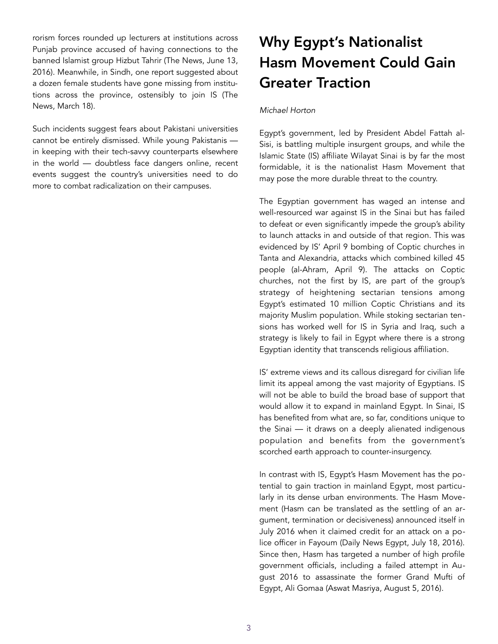rorism forces rounded up lecturers at institutions across Punjab province accused of having connections to the banned Islamist group Hizbut Tahrir [\(The News,](https://www.thenews.com.pk/print/127451-Educationists-among-HuT-LeK-leaders-held-in-Punjab) June 13, 2016). Meanwhile, in Sindh, one report suggested about a dozen female students have gone missing from institutions across the province, ostensibly to join IS ([The](https://www.thenews.com.pk/print/193058-Missing-girl-student-has-joined-Daesh-claim-police)  [News,](https://www.thenews.com.pk/print/193058-Missing-girl-student-has-joined-Daesh-claim-police) March 18).

Such incidents suggest fears about Pakistani universities cannot be entirely dismissed. While young Pakistanis in keeping with their tech-savvy counterparts elsewhere in the world — doubtless face dangers online, recent events suggest the country's universities need to do more to combat radicalization on their campuses.

# Why Egypt's Nationalist Hasm Movement Could Gain Greater Traction

## *Michael Horton*

Egypt's government, led by President Abdel Fattah al-Sisi, is battling multiple insurgent groups, and while the Islamic State (IS) affiliate Wilayat Sinai is by far the most formidable, it is the nationalist Hasm Movement that may pose the more durable threat to the country.

The Egyptian government has waged an intense and well-resourced war against IS in the Sinai but has failed to defeat or even significantly impede the group's ability to launch attacks in and outside of that region. This was evidenced by IS' April 9 bombing of Coptic churches in Tanta and Alexandria, attacks which combined killed 45 people [\(al-Ahram,](http://english.ahram.org.eg/NewsContent/1/64/262573/Egypt/Politics-/LIVE-UPDATE-Palm-Sunday-attacks-on-Tanta-and-Alexa.aspx) April 9). The attacks on Coptic churches, not the first by IS, are part of the group's strategy of heightening sectarian tensions among Egypt's estimated 10 million Coptic Christians and its majority Muslim population. While stoking sectarian tensions has worked well for IS in Syria and Iraq, such a strategy is likely to fail in Egypt where there is a strong Egyptian identity that transcends religious affiliation.

IS' extreme views and its callous disregard for civilian life limit its appeal among the vast majority of Egyptians. IS will not be able to build the broad base of support that would allow it to expand in mainland Egypt. In Sinai, IS has benefited from what are, so far, conditions unique to the Sinai — it draws on a deeply alienated indigenous population and benefits from the government's scorched earth approach to counter-insurgency.

In contrast with IS, Egypt's Hasm Movement has the potential to gain traction in mainland Egypt, most particularly in its dense urban environments. The Hasm Movement (Hasm can be translated as the settling of an argument, termination or decisiveness) announced itself in July 2016 when it claimed credit for an attack on a police officer in Fayoum ([Daily News Egypt,](https://www.dailynewsegypt.com/2016/07/18/non-commissioned-police-officer-dies-after-sustaining-injuries/) July 18, 2016). Since then, Hasm has targeted a number of high profile government officials, including a failed attempt in August 2016 to assassinate the former Grand Mufti of Egypt, Ali Gomaa ([Aswat Masriya,](http://en.aswatmasriya.com/news/details/17470) August 5, 2016).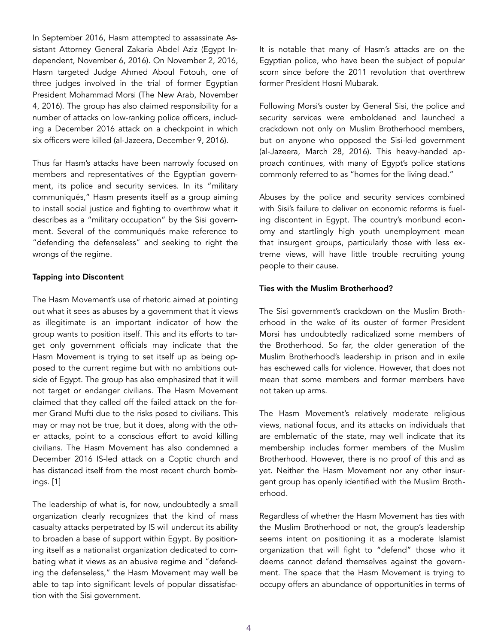In September 2016, Hasm attempted to assassinate Assistant Attorney General Zakaria Abdel Aziz [\(Egypt In](http://www.egyptindependent.com/news/terrorist-group-claims-responsibility-failed-assassination-attempt-judge-who-tried-morsi)[dependent](http://www.egyptindependent.com/news/terrorist-group-claims-responsibility-failed-assassination-attempt-judge-who-tried-morsi), November 6, 2016). On November 2, 2016, Hasm targeted Judge Ahmed Aboul Fotouh, one of three judges involved in the trial of former Egyptian President Mohammad Morsi [\(The New Arab,](https://www.alaraby.co.uk/english/news/2016/11/4/egyptian-judge-part-of-morsi-trial-escapes-car-bombing) November 4, 2016). The group has also claimed responsibility for a number of attacks on low-ranking police officers, including a December 2016 attack on a checkpoint in which six officers were killed [\(al-Jazeera](http://www.aljazeera.com/news/2016/12/policemen-killed-cairo-blast-161209093410830.html), December 9, 2016).

Thus far Hasm's attacks have been narrowly focused on members and representatives of the Egyptian government, its police and security services. In its "military communiqués," Hasm presents itself as a group aiming to install social justice and fighting to overthrow what it describes as a "military occupation" by the Sisi government. Several of the communiqués make reference to "defending the defenseless" and seeking to right the wrongs of the regime.

## Tapping into Discontent

The Hasm Movement's use of rhetoric aimed at pointing out what it sees as abuses by a government that it views as illegitimate is an important indicator of how the group wants to position itself. This and its efforts to target only government officials may indicate that the Hasm Movement is trying to set itself up as being opposed to the current regime but with no ambitions outside of Egypt. The group has also emphasized that it will not target or endanger civilians. The Hasm Movement claimed that they called off the failed attack on the former Grand Mufti due to the risks posed to civilians. This may or may not be true, but it does, along with the other attacks, point to a conscious effort to avoid killing civilians. The Hasm Movement has also condemned a December 2016 IS-led attack on a Coptic church and has distanced itself from the most recent church bombings. [1]

The leadership of what is, for now, undoubtedly a small organization clearly recognizes that the kind of mass casualty attacks perpetrated by IS will undercut its ability to broaden a base of support within Egypt. By positioning itself as a nationalist organization dedicated to combating what it views as an abusive regime and "defending the defenseless," the Hasm Movement may well be able to tap into significant levels of popular dissatisfaction with the Sisi government.

It is notable that many of Hasm's attacks are on the Egyptian police, who have been the subject of popular scorn since before the 2011 revolution that overthrew former President Hosni Mubarak.

Following Morsi's ouster by General Sisi, the police and security services were emboldened and launched a crackdown not only on Muslim Brotherhood members, but on anyone who opposed the Sisi-led government ([al-Jazeera,](http://www.aljazeera.com/indepth/opinion/2016/03/egypt-notorious-police-brutality-record-160322143521378.html) March 28, 2016). This heavy-handed approach continues, with many of Egypt's police stations commonly referred to as "homes for the living dead."

Abuses by the police and security services combined with Sisi's failure to deliver on economic reforms is fueling discontent in Egypt. The country's moribund economy and startlingly high youth unemployment mean that insurgent groups, particularly those with less extreme views, will have little trouble recruiting young people to their cause.

## Ties with the Muslim Brotherhood?

The Sisi government's crackdown on the Muslim Brotherhood in the wake of its ouster of former President Morsi has undoubtedly radicalized some members of the Brotherhood. So far, the older generation of the Muslim Brotherhood's leadership in prison and in exile has eschewed calls for violence. However, that does not mean that some members and former members have not taken up arms.

The Hasm Movement's relatively moderate religious views, national focus, and its attacks on individuals that are emblematic of the state, may well indicate that its membership includes former members of the Muslim Brotherhood. However, there is no proof of this and as yet. Neither the Hasm Movement nor any other insurgent group has openly identified with the Muslim Brotherhood.

Regardless of whether the Hasm Movement has ties with the Muslim Brotherhood or not, the group's leadership seems intent on positioning it as a moderate Islamist organization that will fight to "defend" those who it deems cannot defend themselves against the government. The space that the Hasm Movement is trying to occupy offers an abundance of opportunities in terms of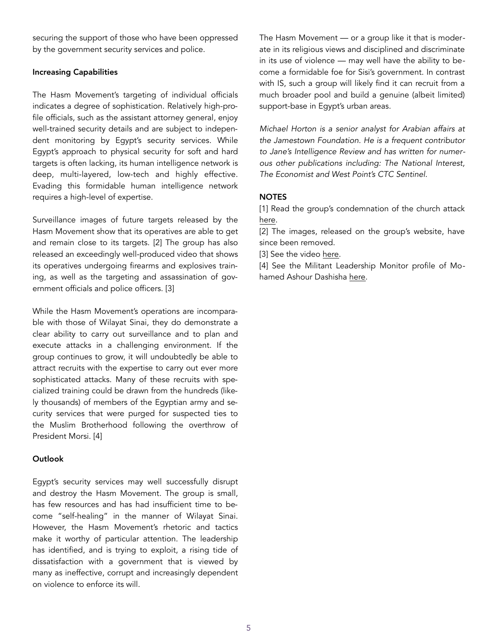securing the support of those who have been oppressed by the government security services and police.

## Increasing Capabilities

The Hasm Movement's targeting of individual officials indicates a degree of sophistication. Relatively high-profile officials, such as the assistant attorney general, enjoy well-trained security details and are subject to independent monitoring by Egypt's security services. While Egypt's approach to physical security for soft and hard targets is often lacking, its human intelligence network is deep, multi-layered, low-tech and highly effective. Evading this formidable human intelligence network requires a high-level of expertise.

Surveillance images of future targets released by the Hasm Movement show that its operatives are able to get and remain close to its targets. [2] The group has also released an exceedingly well-produced video that shows its operatives undergoing firearms and explosives training, as well as the targeting and assassination of government officials and police officers. [3]

While the Hasm Movement's operations are incomparable with those of Wilayat Sinai, they do demonstrate a clear ability to carry out surveillance and to plan and execute attacks in a challenging environment. If the group continues to grow, it will undoubtedly be able to attract recruits with the expertise to carry out ever more sophisticated attacks. Many of these recruits with specialized training could be drawn from the hundreds (likely thousands) of members of the Egyptian army and security services that were purged for suspected ties to the Muslim Brotherhood following the overthrow of President Morsi. [4]

## **Outlook**

Egypt's security services may well successfully disrupt and destroy the Hasm Movement. The group is small, has few resources and has had insufficient time to become "self-healing" in the manner of Wilayat Sinai. However, the Hasm Movement's rhetoric and tactics make it worthy of particular attention. The leadership has identified, and is trying to exploit, a rising tide of dissatisfaction with a government that is viewed by many as ineffective, corrupt and increasingly dependent on violence to enforce its will.

The Hasm Movement — or a group like it that is moderate in its religious views and disciplined and discriminate in its use of violence — may well have the ability to become a formidable foe for Sisi's government. In contrast with IS, such a group will likely find it can recruit from a much broader pool and build a genuine (albeit limited) support-base in Egypt's urban areas.

*Michael Horton is a senior analyst for Arabian affairs at the Jamestown Foundation. He is a frequent contributor to Jane's Intelligence Review and has written for numerous other publications including: The National Interest, The Economist and West Point's CTC Sentinel.* 

## **NOTES**

[1] Read the group's condemnation of the church attack [here.](https://twitter.com/MENASTREAM/status/807977545878634496)

[2] The images, released on the group's website, have since been removed.

[3] See the video [here.](https://www.terrorfeed.net/2017/01/11/hasam-aka-arms-egypt-movement-releases-first-assassination-video/)

[4] See the Militant Leadership Monitor profile of Mohamed Ashour Dashisha [here.](https://jamestown.org/program/new-face-egypts-muslim-brotherhood-post-mortem-analysis-hassm-leader-mohamed-ashour-dashisha/)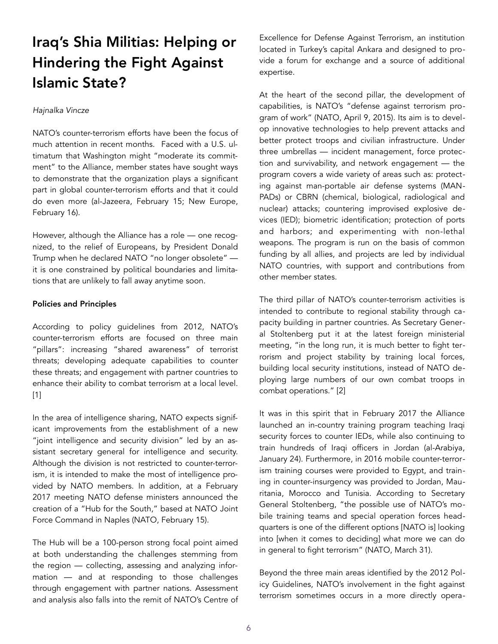## Iraq's Shia Militias: Helping or Hindering the Fight Against Islamic State?

### *Hajnalka Vincze*

NATO's counter-terrorism efforts have been the focus of much attention in recent months. Faced with a U.S. ultimatum that Washington might "moderate its commitment" to the Alliance, member states have sought ways to demonstrate that the organization plays a significant part in global counter-terrorism efforts and that it could do even more [\(al-Jazeera,](http://www.aljazeera.com/news/2017/02/nato-pay-reduce-support-170215203936723.html) February 15; [New Europe,](https://www.neweurope.eu/article/mattis-delivers-europe-pay-ultimatum-nato-not-obsolete/) February 16).

However, although the Alliance has a role — one recognized, to the relief of Europeans, by President Donald Trump when he declared NATO "no longer obsolete" it is one constrained by political boundaries and limitations that are unlikely to fall away anytime soon.

## Policies and Principles

According to policy guidelines from 2012, NATO's counter-terrorism efforts are focused on three main "pillars": increasing "shared awareness" of terrorist threats; developing adequate capabilities to counter these threats; and engagement with partner countries to enhance their ability to combat terrorism at a local level. [1]

In the area of intelligence sharing, NATO expects significant improvements from the establishment of a new "joint intelligence and security division" led by an assistant secretary general for intelligence and security. Although the division is not restricted to counter-terrorism, it is intended to make the most of intelligence provided by NATO members. In addition, at a February 2017 meeting NATO defense ministers announced the creation of a "Hub for the South," based at NATO Joint Force Command in Naples ([NATO,](http://www.nato.int/cps/en/natohq/news_141114.htm) February 15).

The Hub will be a 100-person strong focal point aimed at both understanding the challenges stemming from the region — collecting, assessing and analyzing information — and at responding to those challenges through engagement with partner nations. Assessment and analysis also falls into the remit of NATO's Centre of Excellence for Defense Against Terrorism, an institution located in Turkey's capital Ankara and designed to provide a forum for exchange and a source of additional expertise.

At the heart of the second pillar, the development of capabilities, is NATO's "defense against terrorism program of work" ([NATO,](http://www.nato.int/cps/en/natohq/topics_50313.htm) April 9, 2015). Its aim is to develop innovative technologies to help prevent attacks and better protect troops and civilian infrastructure. Under three umbrellas — incident management, force protection and survivability, and network engagement — the program covers a wide variety of areas such as: protecting against man-portable air defense systems (MAN-PADs) or CBRN (chemical, biological, radiological and nuclear) attacks; countering improvised explosive devices (IED); biometric identification; protection of ports and harbors; and experimenting with non-lethal weapons. The program is run on the basis of common funding by all allies, and projects are led by individual NATO countries, with support and contributions from other member states.

The third pillar of NATO's counter-terrorism activities is intended to contribute to regional stability through capacity building in partner countries. As Secretary General Stoltenberg put it at the latest foreign ministerial meeting, "in the long run, it is much better to fight terrorism and project stability by training local forces, building local security institutions, instead of NATO deploying large numbers of our own combat troops in combat operations." [2]

It was in this spirit that in February 2017 the Alliance launched an in-country training program teaching Iraqi security forces to counter IEDs, while also continuing to train hundreds of Iraqi officers in Jordan [\(al-Arabiya,](https://english.alarabiya.net/en/News/gulf/2017/01/24/NATO-seeks-closer-ties-with-gulf-opens-new-center-.html) January 24). Furthermore, in 2016 mobile counter-terrorism training courses were provided to Egypt, and training in counter-insurgency was provided to Jordan, Mauritania, Morocco and Tunisia. According to Secretary General Stoltenberg, "the possible use of NATO's mobile training teams and special operation forces headquarters is one of the different options [NATO is] looking into [when it comes to deciding] what more we can do in general to fight terrorism" ([NATO,](http://www.nato.int/cps/en/natohq/opinions_142789.htm) March 31).

Beyond the three main areas identified by the 2012 Policy Guidelines, NATO's involvement in the fight against terrorism sometimes occurs in a more directly opera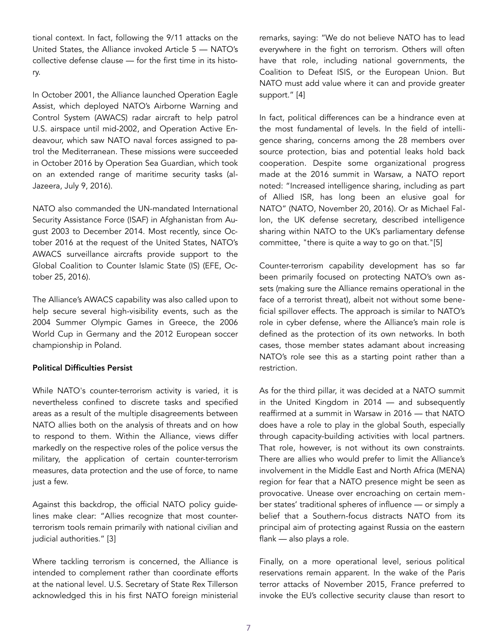tional context. In fact, following the 9/11 attacks on the United States, the Alliance invoked Article 5 — NATO's collective defense clause — for the first time in its history.

In October 2001, the Alliance launched Operation Eagle Assist, which deployed NATO's Airborne Warning and Control System (AWACS) radar aircraft to help patrol U.S. airspace until mid-2002, and Operation Active Endeavour, which saw NATO naval forces assigned to patrol the Mediterranean. These missions were succeeded in October 2016 by Operation Sea Guardian, which took on an extended range of maritime security tasks ([al-](http://www.aljazeera.com/news/2016/07/nato-give-surveillance-planes-mena-countries-160709192055050.html)[Jazeera,](http://www.aljazeera.com/news/2016/07/nato-give-surveillance-planes-mena-countries-160709192055050.html) July 9, 2016).

NATO also commanded the UN-mandated International Security Assistance Force (ISAF) in Afghanistan from August 2003 to December 2014. Most recently, since October 2016 at the request of the United States, NATO's AWACS surveillance aircrafts provide support to the Global Coalition to Counter Islamic State (IS) [\(EFE,](http://www.efe.com/efe/english/portada/nato-confirms-collaboration-with-international-coalition-in-iraq-syria/50000260-3077706) October 25, 2016).

The Alliance's AWACS capability was also called upon to help secure several high-visibility events, such as the 2004 Summer Olympic Games in Greece, the 2006 World Cup in Germany and the 2012 European soccer championship in Poland.

## Political Difficulties Persist

While NATO's counter-terrorism activity is varied, it is nevertheless confined to discrete tasks and specified areas as a result of the multiple disagreements between NATO allies both on the analysis of threats and on how to respond to them. Within the Alliance, views differ markedly on the respective roles of the police versus the military, the application of certain counter-terrorism measures, data protection and the use of force, to name just a few.

Against this backdrop, the official NATO policy guidelines make clear: "Allies recognize that most counterterrorism tools remain primarily with national civilian and judicial authorities." [3]

Where tackling terrorism is concerned, the Alliance is intended to complement rather than coordinate efforts at the national level. U.S. Secretary of State Rex Tillerson acknowledged this in his first NATO foreign ministerial remarks, saying: "We do not believe NATO has to lead everywhere in the fight on terrorism. Others will often have that role, including national governments, the Coalition to Defeat ISIS, or the European Union. But NATO must add value where it can and provide greater support." [4]

In fact, political differences can be a hindrance even at the most fundamental of levels. In the field of intelligence sharing, concerns among the 28 members over source protection, bias and potential leaks hold back cooperation. Despite some organizational progress made at the 2016 summit in Warsaw, a NATO report noted: "Increased intelligence sharing, including as part of Allied ISR, has long been an elusive goal for NATO" ([NATO,](http://www.nato-pa.int/shortcut.asp?FILE=4473) November 20, 2016). Or as Michael Fallon, the UK defense secretary, described intelligence sharing within NATO to the UK's parliamentary defense committee, "there is quite a way to go on that."[5]

Counter-terrorism capability development has so far been primarily focused on protecting NATO's own assets (making sure the Alliance remains operational in the face of a terrorist threat), albeit not without some beneficial spillover effects. The approach is similar to NATO's role in cyber defense, where the Alliance's main role is defined as the protection of its own networks. In both cases, those member states adamant about increasing NATO's role see this as a starting point rather than a restriction.

As for the third pillar, it was decided at a NATO summit in the United Kingdom in 2014 — and subsequently reaffirmed at a summit in Warsaw in 2016 — that NATO does have a role to play in the global South, especially through capacity-building activities with local partners. That role, however, is not without its own constraints. There are allies who would prefer to limit the Alliance's involvement in the Middle East and North Africa (MENA) region for fear that a NATO presence might be seen as provocative. Unease over encroaching on certain member states' traditional spheres of influence — or simply a belief that a Southern-focus distracts NATO from its principal aim of protecting against Russia on the eastern flank — also plays a role.

Finally, on a more operational level, serious political reservations remain apparent. In the wake of the Paris terror attacks of November 2015, France preferred to invoke the EU's collective security clause than resort to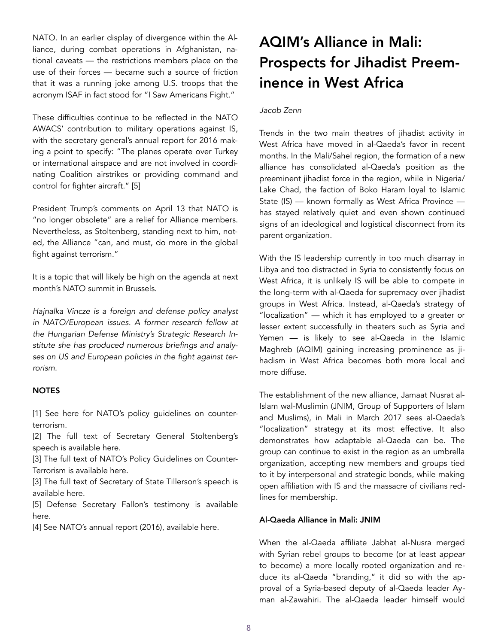NATO. In an earlier display of divergence within the Alliance, during combat operations in Afghanistan, national caveats — the restrictions members place on the use of their forces — became such a source of friction that it was a running joke among U.S. troops that the acronym ISAF in fact stood for "I Saw Americans Fight."

These difficulties continue to be reflected in the NATO AWACS' contribution to military operations against IS, with the secretary general's annual report for 2016 making a point to specify: "The planes operate over Turkey or international airspace and are not involved in coordinating Coalition airstrikes or providing command and control for fighter aircraft." [5]

President Trump's comments on April 13 that NATO is "no longer obsolete" are a relief for Alliance members. Nevertheless, as Stoltenberg, standing next to him, noted, the Alliance "can, and must, do more in the global fight against terrorism."

It is a topic that will likely be high on the agenda at next month's NATO summit in Brussels.

*Hajnalka Vincze is a foreign and defense policy analyst in NATO/European issues. A former research fellow at the Hungarian Defense Ministry's Strategic Research Institute she has produced numerous briefings and analyses on US and European policies in the fight against terrorism.* 

#### **NOTES**

[1] See [here](http://www.nato.int/nato_static_fl2014/assets/pdf/pdf_topics/ct-policy-guidelines.pdf) for NATO's policy guidelines on counterterrorism.

[2] The full text of Secretary General Stoltenberg's speech is available [here.](http://www.nato.int/cps/fr/natohq/opinions_142787.htm)

[3] The full text of NATO's Policy Guidelines on Counter-Terrorism is available [here](http://www.nato.int/cps/en/natohq/official_texts_87905.htm).

[3] The full text of Secretary of State Tillerson's speech is available [here.](https://www.state.gov/secretary/remarks/2017/03/269339.htm)

[5] Defense Secretary Fallon's testimony is available [here.](http://data.parliament.uk/writtenevidence/committeeevidence.svc/evidencedocument/defence-committee/nato-warsaw-summit-and-chilcot-report/oral/35247.html)

[4] See NATO's annual report (2016), available [here.](http://www.nato.int/nato_static_fl2014/assets/pdf/pdf_2017_03/20170313_SG_AnnualReport_2016_en.pdf)

# AQIM's Alliance in Mali: Prospects for Jihadist Preeminence in West Africa

## *Jacob Zenn*

Trends in the two main theatres of jihadist activity in West Africa have moved in al-Qaeda's favor in recent months. In the Mali/Sahel region, the formation of a new alliance has consolidated al-Qaeda's position as the preeminent jihadist force in the region, while in Nigeria/ Lake Chad, the faction of Boko Haram loyal to Islamic State (IS) — known formally as West Africa Province has stayed relatively quiet and even shown continued signs of an ideological and logistical disconnect from its parent organization.

With the IS leadership currently in too much disarray in Libya and too distracted in Syria to consistently focus on West Africa, it is unlikely IS will be able to compete in the long-term with al-Qaeda for supremacy over jihadist groups in West Africa. Instead, al-Qaeda's strategy of "localization" — which it has employed to a greater or lesser extent successfully in theaters such as Syria and Yemen — is likely to see al-Qaeda in the Islamic Maghreb (AQIM) gaining increasing prominence as jihadism in West Africa becomes both more local and more diffuse.

The establishment of the new alliance, Jamaat Nusrat al-Islam wal-Muslimin (JNIM, Group of Supporters of Islam and Muslims), in Mali in March 2017 sees al-Qaeda's "localization" strategy at its most effective. It also demonstrates how adaptable al-Qaeda can be. The group can continue to exist in the region as an umbrella organization, accepting new members and groups tied to it by interpersonal and strategic bonds, while making open affiliation with IS and the massacre of civilians redlines for membership.

#### Al-Qaeda Alliance in Mali: JNIM

When the al-Qaeda affiliate Jabhat al-Nusra merged with Syrian rebel groups to become (or at least *appear*  to become) a more locally rooted organization and reduce its al-Qaeda "branding," it did so with the approval of a Syria-based deputy of al-Qaeda leader Ayman al-Zawahiri. The al-Qaeda leader himself would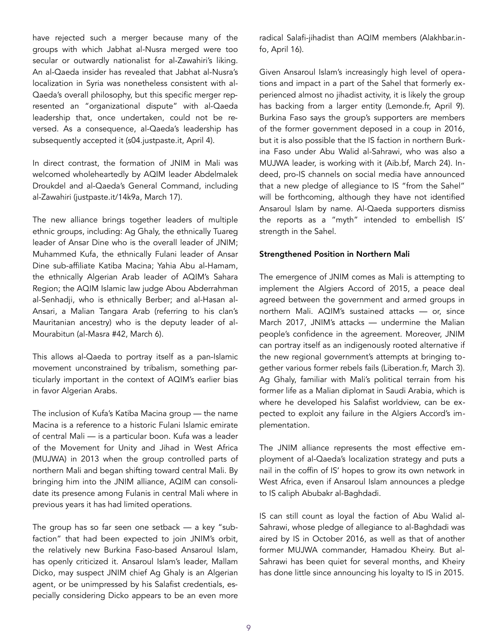have rejected such a merger because many of the groups with which Jabhat al-Nusra merged were too secular or outwardly nationalist for al-Zawahiri's liking. An al-Qaeda insider has revealed that Jabhat al-Nusra's localization in Syria was nonetheless consistent with al-Qaeda's overall philosophy, but this specific merger represented an "organizational dispute" with al-Qaeda leadership that, once undertaken, could not be reversed. As a consequence, al-Qaeda's leadership has subsequently accepted it [\(s04.justpaste.it,](https://s04.justpaste.it/pdf/1532x-justpaste-it-107560.pdf) April 4).

In direct contrast, the formation of JNIM in Mali was welcomed wholeheartedly by AQIM leader Abdelmalek Droukdel and al-Qaeda's General Command, including al-Zawahiri [\(justpaste.it/14k9a](http://jihadology.net/2017/03/17/new-video-message-from-al-qaidah-in-the-islamic-maghribs-abu-mu%E1%B9%A3ab-abd-al-wadud-abd-al-malik-drukdil-congratulations-and-blessings-integratio/), March 17).

The new alliance brings together leaders of multiple ethnic groups, including: Ag Ghaly, the ethnically Tuareg leader of Ansar Dine who is the overall leader of JNIM; Muhammed Kufa, the ethnically Fulani leader of Ansar Dine sub-affiliate Katiba Macina; Yahia Abu al-Hamam, the ethnically Algerian Arab leader of AQIM's Sahara Region; the AQIM Islamic law judge Abou Abderrahman al-Senhadji, who is ethnically Berber; and al-Hasan al-Ansari, a Malian Tangara Arab (referring to his clan's Mauritanian ancestry) who is the deputy leader of al-Mourabitun [\(al-Masra #42](https://azelin.files.wordpress.com/2017/03/al-masracc84-newspaper-42.pdf), March 6).

This allows al-Qaeda to portray itself as a pan-Islamic movement unconstrained by tribalism, something particularly important in the context of AQIM's earlier bias in favor Algerian Arabs.

The inclusion of Kufa's Katiba Macina group — the name Macina is a reference to a historic Fulani Islamic emirate of central Mali — is a particular boon. Kufa was a leader of the Movement for Unity and Jihad in West Africa (MUJWA) in 2013 when the group controlled parts of northern Mali and began shifting toward central Mali. By bringing him into the JNIM alliance, AQIM can consolidate its presence among Fulanis in central Mali where in previous years it has had limited operations.

The group has so far seen one setback — a key "subfaction" that had been expected to join JNIM's orbit, the relatively new Burkina Faso-based Ansaroul Islam, has openly criticized it. Ansaroul Islam's leader, Mallam Dicko, may suspect JNIM chief Ag Ghaly is an Algerian agent, or be unimpressed by his Salafist credentials, especially considering Dicko appears to be an even more radical Salafi-jihadist than AQIM members (Alakhbar.info, April 16).

Given Ansaroul Islam's increasingly high level of operations and impact in a part of the Sahel that formerly experienced almost no jihadist activity, it is likely the group has backing from a larger entity ([Lemonde.fr,](http://www.lemonde.fr/afrique/article/2017/04/09/menaces-djihadistes-aux-enseignants-du-nord-du-burkina-tu-fais-l-ecole-du-blanc-tu-iras-en-enfer_5108556_3212.html?utm_term=Autofeed&utm_campaign=Echobox&utm_medium=Social&utm_source=Twitter%22%20%5Cl%20%22link_time=1491758330) April 9). Burkina Faso says the group's supporters are members of the former government deposed in a coup in 2016, but it is also possible that the IS faction in northern Burkina Faso under Abu Walid al-Sahrawi, who was also a MUJWA leader, is working with it ([Aib.bf,](http://www.aib.bf/m-9097-burkina-le-regime-de-blaise-compaore-avait-%E2%80%98-pactise-avec-des-groupes-terroristes-simon-compaore-.html) March 24). Indeed, pro-IS channels on social media have announced that a new pledge of allegiance to IS "from the Sahel" will be forthcoming, although they have not identified Ansaroul Islam by name. Al-Qaeda supporters dismiss the reports as a "myth" intended to embellish IS' strength in the Sahel.

#### Strengthened Position in Northern Mali

The emergence of JNIM comes as Mali is attempting to implement the Algiers Accord of 2015, a peace deal agreed between the government and armed groups in northern Mali. AQIM's sustained attacks — or, since March 2017, JNIM's attacks — undermine the Malian people's confidence in the agreement. Moreover, JNIM can portray itself as an indigenously rooted alternative if the new regional government's attempts at bringing together various former rebels fails ([Liberation.fr,](http://www.liberation.fr/planete/2017/03/03/paix-au-mali-l-espoir-fragile_1552847) March 3). Ag Ghaly, familiar with Mali's political terrain from his former life as a Malian diplomat in Saudi Arabia, which is where he developed his Salafist worldview, can be expected to exploit any failure in the Algiers Accord's implementation.

The JNIM alliance represents the most effective employment of al-Qaeda's localization strategy and puts a nail in the coffin of IS' hopes to grow its own network in West Africa, even if Ansaroul Islam announces a pledge to IS caliph Abubakr al-Baghdadi.

IS can still count as loyal the faction of Abu Walid al-Sahrawi, whose pledge of allegiance to al-Baghdadi was aired by IS in October 2016, as well as that of another former MUJWA commander, Hamadou Kheiry. But al-Sahrawi has been quiet for several months, and Kheiry has done little since announcing his loyalty to IS in 2015.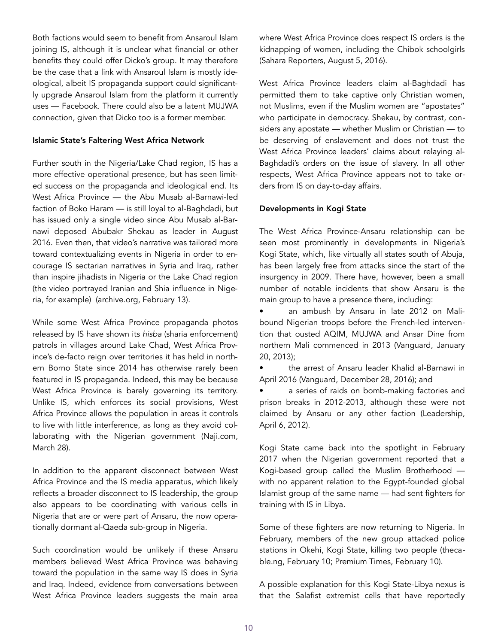Both factions would seem to benefit from Ansaroul Islam joining IS, although it is unclear what financial or other benefits they could offer Dicko's group. It may therefore be the case that a link with Ansaroul Islam is mostly ideological, albeit IS propaganda support could significantly upgrade Ansaroul Islam from the platform it currently uses — Facebook. There could also be a latent MUJWA connection, given that Dicko too is a former member.

#### Islamic State's Faltering West Africa Network

Further south in the Nigeria/Lake Chad region, IS has a more effective operational presence, but has seen limited success on the propaganda and ideological end. Its West Africa Province — the Abu Musab al-Barnawi-led faction of Boko Haram — is still loyal to al-Baghdadi, but has issued only a single video since Abu Musab al-Barnawi deposed Abubakr Shekau as leader in August 2016. Even then, that video's narrative was tailored more toward contextualizing events in Nigeria in order to encourage IS sectarian narratives in Syria and Iraq, rather than inspire jihadists in Nigeria or the Lake Chad region (the video portrayed Iranian and Shia influence in Nigeria, for example) [\(archive.org,](http://jihadology.net/2017/02/13/new-video-message-from-the-islamic-state-combustion-of-the-delicate-wilayat-gharb-ifriqiyyah/) February 13).

While some West Africa Province propaganda photos released by IS have shown its *hisba* (sharia enforcement) patrols in villages around Lake Chad, West Africa Province's de-facto reign over territories it has held in northern Borno State since 2014 has otherwise rarely been featured in IS propaganda. Indeed, this may be because West Africa Province is barely governing its territory. Unlike IS, which enforces its social provisions, West Africa Province allows the population in areas it controls to live with little interference, as long as they avoid collaborating with the Nigerian government [\(Naji.com,](https://www.naij.com/1096257-al-barnawis-boko-haram-group-raids-borno-village-sabon-gari-kimba.html) March 28).

In addition to the apparent disconnect between West Africa Province and the IS media apparatus, which likely reflects a broader disconnect to IS leadership, the group also appears to be coordinating with various cells in Nigeria that are or were part of Ansaru, the now operationally dormant al-Qaeda sub-group in Nigeria.

Such coordination would be unlikely if these Ansaru members believed West Africa Province was behaving toward the population in the same way IS does in Syria and Iraq. Indeed, evidence from conversations between West Africa Province leaders suggests the main area where West Africa Province does respect IS orders is the kidnapping of women, including the Chibok schoolgirls ([Sahara Reporters,](http://saharareporters.com/2016/08/05/new-boko-haram-leader-al-barnawi-accuses-abubakar-shekau-killing-fellow-muslims-living) August 5, 2016).

West Africa Province leaders claim al-Baghdadi has permitted them to take captive only Christian women, not Muslims, even if the Muslim women are "apostates" who participate in democracy. Shekau, by contrast, considers any apostate — whether Muslim or Christian — to be deserving of enslavement and does not trust the West Africa Province leaders' claims about relaying al-Baghdadi's orders on the issue of slavery. In all other respects, West Africa Province appears not to take orders from IS on day-to-day affairs.

## Developments in Kogi State

The West Africa Province-Ansaru relationship can be seen most prominently in developments in Nigeria's Kogi State, which, like virtually all states south of Abuja, has been largely free from attacks since the start of the insurgency in 2009. There have, however, been a small number of notable incidents that show Ansaru is the main group to have a presence there, including:

an ambush by Ansaru in late 2012 on Malibound Nigerian troops before the French-led intervention that ousted AQIM, MUJWA and Ansar Dine from northern Mali commenced in 2013 ([Vanguard,](http://www.vanguardngr.com/2013/01/ansaru-claims-attack-that-killed-2-mali-bound-soldiers/) January 20, 2013);

• the arrest of Ansaru leader Khalid al-Barnawi in April 2016 ([Vanguard,](http://www.vanguardngr.com/2016/12/dismantled-boko-haram-leadership-dss/) December 28, 2016); and

a series of raids on bomb-making factories and prison breaks in 2012-2013, although these were not claimed by Ansaru or any other faction ([Leadership,](http://allafrica.com/stories/201204060738.html) April 6, 2012).

Kogi State came back into the spotlight in February 2017 when the Nigerian government reported that a Kogi-based group called the Muslim Brotherhood with no apparent relation to the Egypt-founded global Islamist group of the same name — had sent fighters for training with IS in Libya.

Some of these fighters are now returning to Nigeria. In February, members of the new group attacked police stations in Okehi, Kogi State, killing two people ([theca](https://www.thecable.ng/alert-muslim-brotherhood-kogi-plotting-terror-attacks)[ble.ng,](https://www.thecable.ng/alert-muslim-brotherhood-kogi-plotting-terror-attacks) February 10; [Premium Times,](http://www.premiumtimesng.com/news/headlines/223128-muslim-brotherhood-plotting-deadly-attacks-nigeria-govt-warns.html) February 10).

A possible explanation for this Kogi State-Libya nexus is that the Salafist extremist cells that have reportedly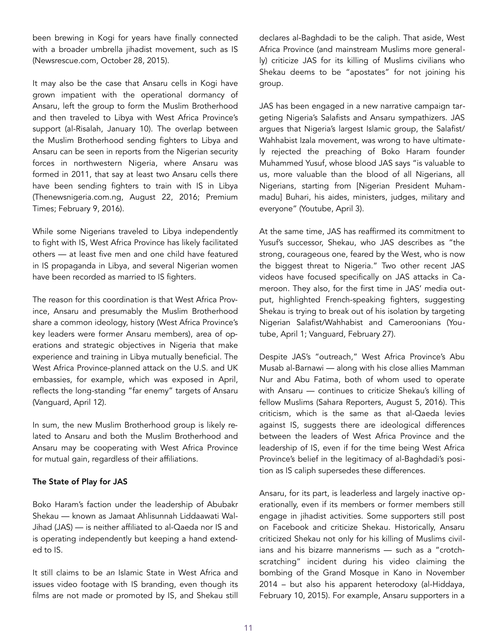been brewing in Kogi for years have finally connected with a broader umbrella jihadist movement, such as IS ([Newsrescue.com](http://newsrescue.com/inside-story-of-nigerian-armys-deadly-battle-with-daesh-and-the-terror-camps-in-okene-mountains/), October 28, 2015).

It may also be the case that Ansaru cells in Kogi have grown impatient with the operational dormancy of Ansaru, left the group to form the Muslim Brotherhood and then traveled to Libya with West Africa Province's support [\(al-Risalah](http://jihadology.net/category/al-risalah-magazine/), January 10). The overlap between the Muslim Brotherhood sending fighters to Libya and Ansaru can be seen in reports from the Nigerian security forces in northwestern Nigeria, where Ansaru was formed in 2011, that say at least two Ansaru cells there have been sending fighters to train with IS in Libya ([Thenewsnigeria.com.ng](http://thenewsnigeria.com.ng/2016/08/dss-arrest-members-of-boko-haram-ansaru-terror-groups-in-kano-kaduna-edo/), August 22, 2016; [Premium](http://www.premiumtimesng.com/news/headlines/198226-breaking-alleged-recruiter-of-terrorists-for-isis-others-arrested-in-nigeria.html)  [Times](http://www.premiumtimesng.com/news/headlines/198226-breaking-alleged-recruiter-of-terrorists-for-isis-others-arrested-in-nigeria.html); February 9, 2016).

While some Nigerians traveled to Libya independently to fight with IS, West Africa Province has likely facilitated others — at least five men and one child have featured in IS propaganda in Libya, and several Nigerian women have been recorded as married to IS fighters.

The reason for this coordination is that West Africa Province, Ansaru and presumably the Muslim Brotherhood share a common ideology, history (West Africa Province's key leaders were former Ansaru members), area of operations and strategic objectives in Nigeria that make experience and training in Libya mutually beneficial. The West Africa Province-planned attack on the U.S. and UK embassies, for example, which was exposed in April, reflects the long-standing "far enemy" targets of Ansaru ([Vanguard](http://www.vanguardngr.com/2017/04/dss-foiled-isis-linked-boko-haram-attack-u-s-uk-embassies/), April 12).

In sum, the new Muslim Brotherhood group is likely related to Ansaru and both the Muslim Brotherhood and Ansaru may be cooperating with West Africa Province for mutual gain, regardless of their affiliations.

#### The State of Play for JAS

Boko Haram's faction under the leadership of Abubakr Shekau — known as Jamaat Ahlisunnah Liddaawati Wal-Jihad (JAS) — is neither affiliated to al-Qaeda nor IS and is operating independently but keeping a hand extended to IS.

It still claims to be *an* Islamic State in West Africa and issues video footage with IS branding, even though its films are not made or promoted by IS, and Shekau still declares al-Baghdadi to be the caliph. That aside, West Africa Province (and mainstream Muslims more generally) criticize JAS for its killing of Muslims civilians who Shekau deems to be "apostates" for not joining his group.

JAS has been engaged in a new narrative campaign targeting Nigeria's Salafists and Ansaru sympathizers. JAS argues that Nigeria's largest Islamic group, the Salafist/ Wahhabist Izala movement, was wrong to have ultimately rejected the preaching of Boko Haram founder Muhammed Yusuf, whose blood JAS says "is valuable to us, more valuable than the blood of all Nigerians, all Nigerians, starting from [Nigerian President Muhammadu] Buhari, his aides, ministers, judges, military and everyone" ([Youtube,](https://www.youtube.com/watch?v=nrvV7NZyMsI) April 3).

At the same time, JAS has reaffirmed its commitment to Yusuf's successor, Shekau, who JAS describes as "the strong, courageous one, feared by the West, who is now the biggest threat to Nigeria." Two other recent JAS videos have focused specifically on JAS attacks in Cameroon. They also, for the first time in JAS' media output, highlighted French-speaking fighters, suggesting Shekau is trying to break out of his isolation by targeting Nigerian Salafist/Wahhabist and Cameroonians [\(You](https://www.youtube.com/watch?v=MAWilt7TRlE)[tube,](https://www.youtube.com/watch?v=MAWilt7TRlE) April 1; [Vanguard,](http://www.vanguardngr.com/2017/02/abubakar-shekau-kills-boko-harams-spokesman-leadership-plot/) February 27).

Despite JAS's "outreach," West Africa Province's Abu Musab al-Barnawi — along with his close allies Mamman Nur and Abu Fatima, both of whom used to operate with Ansaru — continues to criticize Shekau's killing of fellow Muslims ([Sahara Reporters,](http://saharareporters.com/2016/08/05/new-boko-haram-leader-al-barnawi-accuses-abubakar-shekau-killing-fellow-muslims-living) August 5, 2016). This criticism, which is the same as that al-Qaeda levies against IS, suggests there are ideological differences between the leaders of West Africa Province and the leadership of IS, even if for the time being West Africa Province's belief in the legitimacy of al-Baghdadi's position as IS caliph supersedes these differences.

Ansaru, for its part, is leaderless and largely inactive operationally, even if its members or former members still engage in jihadist activities. Some supporters still post on Facebook and criticize Shekau. Historically, Ansaru criticized Shekau not only for his killing of Muslims civilians and his bizarre mannerisms — such as a "crotchscratching" incident during his video claiming the bombing of the Grand Mosque in Kano in November 2014 – but also his apparent heterodoxy ([al-Hiddaya,](http://jihadology.net/2015/02/10/al-hidayyah-foundation-presents-a-new-video-message-from-jamaat-an%E1%B9%A3ar-al-muslimin-fi-bilad-al-sudan-investigation-of-the-nigerian-army/) February 10, 2015). For example, Ansaru supporters in a